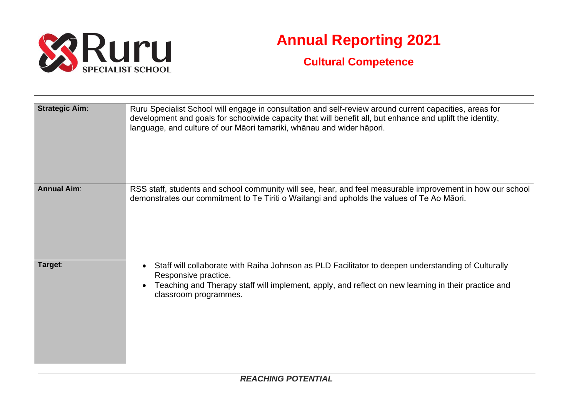

## **Annual Reporting 2021**

## **Cultural Competence**

| <b>Strategic Aim:</b> | Ruru Specialist School will engage in consultation and self-review around current capacities, areas for<br>development and goals for schoolwide capacity that will benefit all, but enhance and uplift the identity,<br>language, and culture of our Māori tamariki, whānau and wider hāpori. |
|-----------------------|-----------------------------------------------------------------------------------------------------------------------------------------------------------------------------------------------------------------------------------------------------------------------------------------------|
| <b>Annual Aim:</b>    | RSS staff, students and school community will see, hear, and feel measurable improvement in how our school<br>demonstrates our commitment to Te Tiriti o Waitangi and upholds the values of Te Ao Māori.                                                                                      |
| Target:               | Staff will collaborate with Raiha Johnson as PLD Facilitator to deepen understanding of Culturally<br>$\bullet$<br>Responsive practice.<br>Teaching and Therapy staff will implement, apply, and reflect on new learning in their practice and<br>classroom programmes.                       |